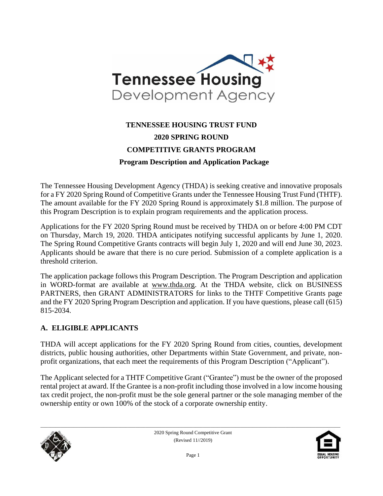

# **TENNESSEE HOUSING TRUST FUND 2020 SPRING ROUND COMPETITIVE GRANTS PROGRAM Program Description and Application Package**

The Tennessee Housing Development Agency (THDA) is seeking creative and innovative proposals for a FY 2020 Spring Round of Competitive Grants under the Tennessee Housing Trust Fund (THTF). The amount available for the FY 2020 Spring Round is approximately \$1.8 million. The purpose of this Program Description is to explain program requirements and the application process.

Applications for the FY 2020 Spring Round must be received by THDA on or before 4:00 PM CDT on Thursday, March 19, 2020. THDA anticipates notifying successful applicants by June 1, 2020. The Spring Round Competitive Grants contracts will begin July 1, 2020 and will end June 30, 2023. Applicants should be aware that there is no cure period. Submission of a complete application is a threshold criterion.

The application package follows this Program Description. The Program Description and application in WORD-format are available at [www.thda.org.](file:///C:/Users/lmiller/AppData/Local/Microsoft/Windows/Documents%20and%20Settings/CHolloway/Local%20Settings/Temporary%20Internet%20Files/Content.Outlook/Local%20Settings/Temporary%20Internet%20Files/Content.Outlook/UYMA8P3Z/www.thda.org) At the THDA website, click on BUSINESS PARTNERS, then GRANT ADMINISTRATORS for links to the THTF Competitive Grants page and the FY 2020 Spring Program Description and application. If you have questions, please call (615) 815-2034.

#### **A. ELIGIBLE APPLICANTS**

THDA will accept applications for the FY 2020 Spring Round from cities, counties, development districts, public housing authorities, other Departments within State Government, and private, nonprofit organizations, that each meet the requirements of this Program Description ("Applicant").

The Applicant selected for a THTF Competitive Grant ("Grantee") must be the owner of the proposed rental project at award. If the Grantee is a non-profit including those involved in a low income housing tax credit project, the non-profit must be the sole general partner or the sole managing member of the ownership entity or own 100% of the stock of a corporate ownership entity.



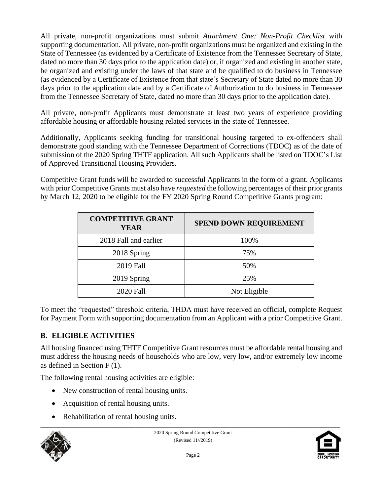All private, non-profit organizations must submit *Attachment One: Non-Profit Checklist* with supporting documentation. All private, non-profit organizations must be organized and existing in the State of Tennessee (as evidenced by a Certificate of Existence from the Tennessee Secretary of State, dated no more than 30 days prior to the application date) or, if organized and existing in another state, be organized and existing under the laws of that state and be qualified to do business in Tennessee (as evidenced by a Certificate of Existence from that state's Secretary of State dated no more than 30 days prior to the application date and by a Certificate of Authorization to do business in Tennessee from the Tennessee Secretary of State, dated no more than 30 days prior to the application date).

All private, non-profit Applicants must demonstrate at least two years of experience providing affordable housing or affordable housing related services in the state of Tennessee.

Additionally, Applicants seeking funding for transitional housing targeted to ex-offenders shall demonstrate good standing with the Tennessee Department of Corrections (TDOC) as of the date of submission of the 2020 Spring THTF application. All such Applicants shall be listed on TDOC's List of Approved Transitional Housing Providers.

Competitive Grant funds will be awarded to successful Applicants in the form of a grant. Applicants with prior Competitive Grants must also have *requested* the following percentages of their prior grants by March 12, 2020 to be eligible for the FY 2020 Spring Round Competitive Grants program:

| <b>COMPETITIVE GRANT</b><br>YEAR | <b>SPEND DOWN REQUIREMENT</b> |
|----------------------------------|-------------------------------|
| 2018 Fall and earlier            | 100%                          |
| 2018 Spring                      | 75%                           |
| 2019 Fall                        | 50%                           |
| 2019 Spring                      | 25%                           |
| 2020 Fall                        | Not Eligible                  |

To meet the "requested" threshold criteria, THDA must have received an official, complete Request for Payment Form with supporting documentation from an Applicant with a prior Competitive Grant.

### **B. ELIGIBLE ACTIVITIES**

All housing financed using THTF Competitive Grant resources must be affordable rental housing and must address the housing needs of households who are low, very low, and/or extremely low income as defined in Section F (1).

The following rental housing activities are eligible:

- New construction of rental housing units.
- Acquisition of rental housing units.
- Rehabilitation of rental housing units.



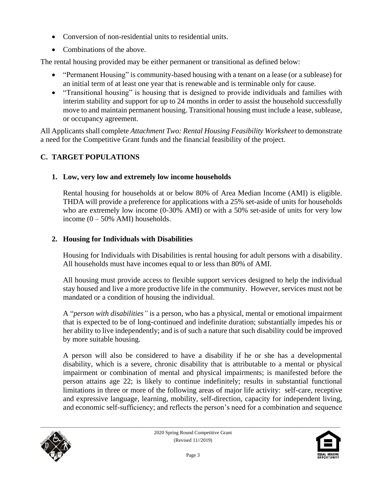- Conversion of non-residential units to residential units.
- Combinations of the above.

The rental housing provided may be either permanent or transitional as defined below:

- "Permanent Housing" is community-based housing with a tenant on a lease (or a sublease) for an initial term of at least one year that is renewable and is terminable only for cause.
- "Transitional housing" is housing that is designed to provide individuals and families with interim stability and support for up to 24 months in order to assist the household successfully move to and maintain permanent housing. Transitional housing must include a lease, sublease, or occupancy agreement.

All Applicants shall complete *Attachment Two: Rental Housing Feasibility Worksheet* to demonstrate a need for the Competitive Grant funds and the financial feasibility of the project.

## **C. TARGET POPULATIONS**

## **1. Low, very low and extremely low income households**

Rental housing for households at or below 80% of Area Median Income (AMI) is eligible. THDA will provide a preference for applications with a 25% set-aside of units for households who are extremely low income (0-30% AMI) or with a 50% set-aside of units for very low income  $(0 - 50\%$  AMI) households.

## **2. Housing for Individuals with Disabilities**

Housing for Individuals with Disabilities is rental housing for adult persons with a disability. All households must have incomes equal to or less than 80% of AMI.

All housing must provide access to flexible support services designed to help the individual stay housed and live a more productive life in the community. However, services must not be mandated or a condition of housing the individual.

A "*person with disabilities"* is a person, who has a physical, mental or emotional impairment that is expected to be of long-continued and indefinite duration; substantially impedes his or her ability to live independently; and is of such a nature that such disability could be improved by more suitable housing.

A person will also be considered to have a disability if he or she has a developmental disability, which is a severe, chronic disability that is attributable to a mental or physical impairment or combination of mental and physical impairments; is manifested before the person attains age 22; is likely to continue indefinitely; results in substantial functional limitations in three or more of the following areas of major life activity: self-care, receptive and expressive language, learning, mobility, self-direction, capacity for independent living, and economic self-sufficiency; and reflects the person's need for a combination and sequence



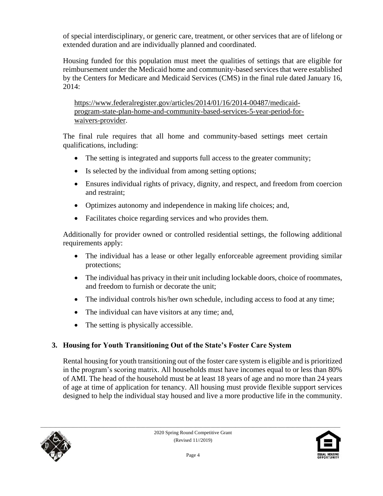of special interdisciplinary, or generic care, treatment, or other services that are of lifelong or extended duration and are individually planned and coordinated.

Housing funded for this population must meet the qualities of settings that are eligible for reimbursement under the Medicaid home and community-based services that were established by the Centers for Medicare and Medicaid Services (CMS) in the final rule dated January 16, 2014:

[https://www.federalregister.gov/articles/2014/01/16/2014-00487/medicaid](https://www.federalregister.gov/articles/2014/01/16/2014-00487/medicaid-program-state-plan-home-and-community-based-services-5-year-period-for-waivers-provider)[program-state-plan-home-and-community-based-services-5-year-period-for](https://www.federalregister.gov/articles/2014/01/16/2014-00487/medicaid-program-state-plan-home-and-community-based-services-5-year-period-for-waivers-provider)[waivers-provider.](https://www.federalregister.gov/articles/2014/01/16/2014-00487/medicaid-program-state-plan-home-and-community-based-services-5-year-period-for-waivers-provider)

The final rule requires that all home and community-based settings meet certain qualifications, including:

- The setting is integrated and supports full access to the greater community;
- Is selected by the individual from among setting options;
- Ensures individual rights of privacy, dignity, and respect, and freedom from coercion and restraint;
- Optimizes autonomy and independence in making life choices; and,
- Facilitates choice regarding services and who provides them.

Additionally for provider owned or controlled residential settings, the following additional requirements apply:

- The individual has a lease or other legally enforceable agreement providing similar protections;
- The individual has privacy in their unit including lockable doors, choice of roommates, and freedom to furnish or decorate the unit;
- The individual controls his/her own schedule, including access to food at any time;
- The individual can have visitors at any time; and,
- The setting is physically accessible.

## **3. Housing for Youth Transitioning Out of the State's Foster Care System**

Rental housing for youth transitioning out of the foster care system is eligible and is prioritized in the program's scoring matrix. All households must have incomes equal to or less than 80% of AMI. The head of the household must be at least 18 years of age and no more than 24 years of age at time of application for tenancy. All housing must provide flexible support services designed to help the individual stay housed and live a more productive life in the community.



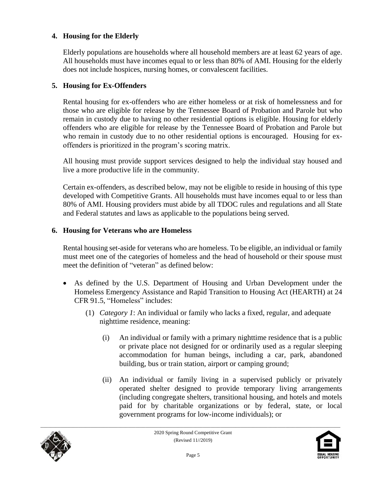#### **4. Housing for the Elderly**

Elderly populations are households where all household members are at least 62 years of age. All households must have incomes equal to or less than 80% of AMI. Housing for the elderly does not include hospices, nursing homes, or convalescent facilities.

#### **5. Housing for Ex-Offenders**

Rental housing for ex-offenders who are either homeless or at risk of homelessness and for those who are eligible for release by the Tennessee Board of Probation and Parole but who remain in custody due to having no other residential options is eligible. Housing for elderly offenders who are eligible for release by the Tennessee Board of Probation and Parole but who remain in custody due to no other residential options is encouraged. Housing for exoffenders is prioritized in the program's scoring matrix.

All housing must provide support services designed to help the individual stay housed and live a more productive life in the community.

Certain ex-offenders, as described below, may not be eligible to reside in housing of this type developed with Competitive Grants. All households must have incomes equal to or less than 80% of AMI. Housing providers must abide by all TDOC rules and regulations and all State and Federal statutes and laws as applicable to the populations being served.

#### **6. Housing for Veterans who are Homeless**

Rental housing set-aside for veterans who are homeless. To be eligible, an individual or family must meet one of the categories of homeless and the head of household or their spouse must meet the definition of "veteran" as defined below:

- As defined by the U.S. Department of Housing and Urban Development under the Homeless Emergency Assistance and Rapid Transition to Housing Act (HEARTH) at 24 CFR 91.5, "Homeless" includes:
	- (1) *Category 1*: An individual or family who lacks a fixed, regular, and adequate nighttime residence, meaning:
		- (i) An individual or family with a primary nighttime residence that is a public or private place not designed for or ordinarily used as a regular sleeping accommodation for human beings, including a car, park, abandoned building, bus or train station, airport or camping ground;
		- (ii) An individual or family living in a supervised publicly or privately operated shelter designed to provide temporary living arrangements (including congregate shelters, transitional housing, and hotels and motels paid for by charitable organizations or by federal, state, or local government programs for low-income individuals); or



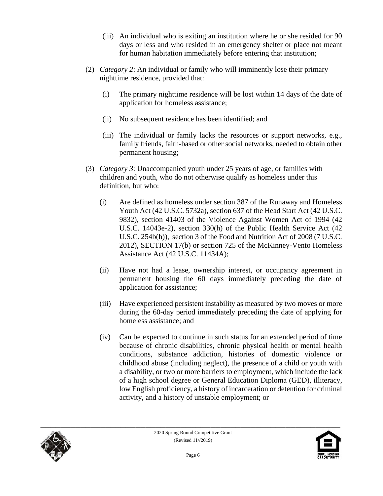- (iii) An individual who is exiting an institution where he or she resided for 90 days or less and who resided in an emergency shelter or place not meant for human habitation immediately before entering that institution;
- (2) *Category 2*: An individual or family who will imminently lose their primary nighttime residence, provided that:
	- (i) The primary nighttime residence will be lost within 14 days of the date of application for homeless assistance;
	- (ii) No subsequent residence has been identified; and
	- (iii) The individual or family lacks the resources or support networks, e.g., family friends, faith-based or other social networks, needed to obtain other permanent housing;
- (3) *Category 3*: Unaccompanied youth under 25 years of age, or families with children and youth, who do not otherwise qualify as homeless under this definition, but who:
	- (i) Are defined as homeless under section 387 of the Runaway and Homeless Youth Act (42 U.S.C. 5732a), section 637 of the Head Start Act (42 U.S.C. 9832), section 41403 of the Violence Against Women Act of 1994 (42 U.S.C. 14043e-2), section 330(h) of the Public Health Service Act (42 U.S.C. 254b(h)), section 3 of the Food and Nutrition Act of 2008 (7 U.S.C. 2012), SECTION 17(b) or section 725 of the McKinney-Vento Homeless Assistance Act (42 U.S.C. 11434A);
	- (ii) Have not had a lease, ownership interest, or occupancy agreement in permanent housing the 60 days immediately preceding the date of application for assistance;
	- (iii) Have experienced persistent instability as measured by two moves or more during the 60-day period immediately preceding the date of applying for homeless assistance; and
	- (iv) Can be expected to continue in such status for an extended period of time because of chronic disabilities, chronic physical health or mental health conditions, substance addiction, histories of domestic violence or childhood abuse (including neglect), the presence of a child or youth with a disability, or two or more barriers to employment, which include the lack of a high school degree or General Education Diploma (GED), illiteracy, low English proficiency, a history of incarceration or detention for criminal activity, and a history of unstable employment; or



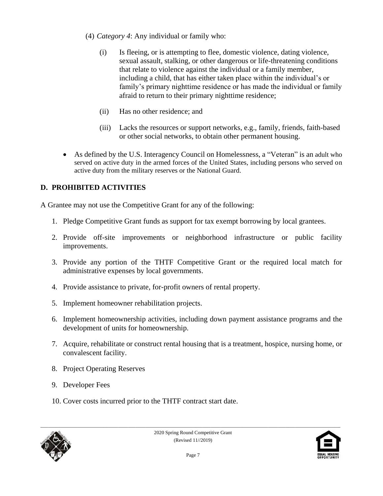- (4) *Category 4*: Any individual or family who:
	- (i) Is fleeing, or is attempting to flee, domestic violence, dating violence, sexual assault, stalking, or other dangerous or life-threatening conditions that relate to violence against the individual or a family member, including a child, that has either taken place within the individual's or family's primary nighttime residence or has made the individual or family afraid to return to their primary nighttime residence;
	- (ii) Has no other residence; and
	- (iii) Lacks the resources or support networks, e.g., family, friends, faith-based or other social networks, to obtain other permanent housing.
- As defined by the U.S. Interagency Council on Homelessness, a "Veteran" is an adult who served on active duty in the armed forces of the United States, including persons who served on active duty from the military reserves or the National Guard.

## **D. PROHIBITED ACTIVITIES**

A Grantee may not use the Competitive Grant for any of the following:

- 1. Pledge Competitive Grant funds as support for tax exempt borrowing by local grantees.
- 2. Provide off-site improvements or neighborhood infrastructure or public facility improvements.
- 3. Provide any portion of the THTF Competitive Grant or the required local match for administrative expenses by local governments.
- 4. Provide assistance to private, for-profit owners of rental property.
- 5. Implement homeowner rehabilitation projects.
- 6. Implement homeownership activities, including down payment assistance programs and the development of units for homeownership.
- 7. Acquire, rehabilitate or construct rental housing that is a treatment, hospice, nursing home, or convalescent facility.
- 8. Project Operating Reserves
- 9. Developer Fees
- 10. Cover costs incurred prior to the THTF contract start date.



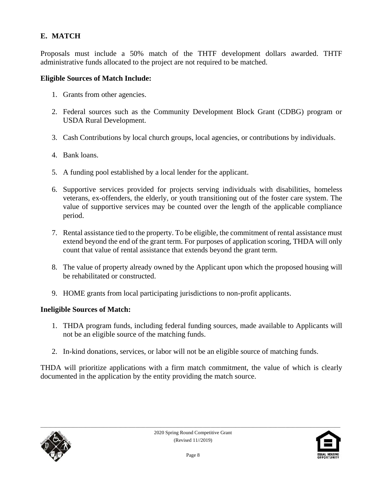## **E. MATCH**

Proposals must include a 50% match of the THTF development dollars awarded. THTF administrative funds allocated to the project are not required to be matched.

#### **Eligible Sources of Match Include:**

- 1. Grants from other agencies.
- 2. Federal sources such as the Community Development Block Grant (CDBG) program or USDA Rural Development.
- 3. Cash Contributions by local church groups, local agencies, or contributions by individuals.
- 4. Bank loans.
- 5. A funding pool established by a local lender for the applicant.
- 6. Supportive services provided for projects serving individuals with disabilities, homeless veterans, ex-offenders, the elderly, or youth transitioning out of the foster care system. The value of supportive services may be counted over the length of the applicable compliance period.
- 7. Rental assistance tied to the property. To be eligible, the commitment of rental assistance must extend beyond the end of the grant term. For purposes of application scoring, THDA will only count that value of rental assistance that extends beyond the grant term.
- 8. The value of property already owned by the Applicant upon which the proposed housing will be rehabilitated or constructed.
- 9. HOME grants from local participating jurisdictions to non-profit applicants.

#### **Ineligible Sources of Match:**

- 1. THDA program funds, including federal funding sources, made available to Applicants will not be an eligible source of the matching funds.
- 2. In-kind donations, services, or labor will not be an eligible source of matching funds.

THDA will prioritize applications with a firm match commitment, the value of which is clearly documented in the application by the entity providing the match source.



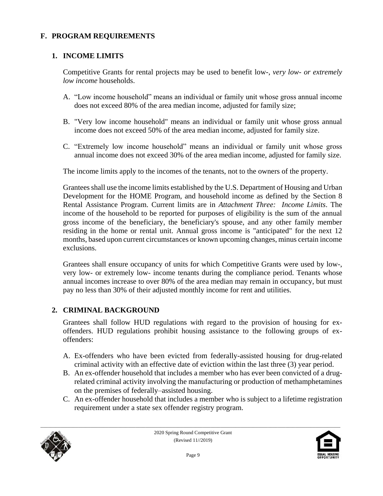#### **F. PROGRAM REQUIREMENTS**

#### **1. INCOME LIMITS**

Competitive Grants for rental projects may be used to benefit low-, *very low- or extremely low income* households.

- A. "Low income household" means an individual or family unit whose gross annual income does not exceed 80% of the area median income, adjusted for family size;
- B. "Very low income household" means an individual or family unit whose gross annual income does not exceed 50% of the area median income, adjusted for family size.
- C. "Extremely low income household" means an individual or family unit whose gross annual income does not exceed 30% of the area median income, adjusted for family size.

The income limits apply to the incomes of the tenants, not to the owners of the property.

Grantees shall use the income limits established by the U.S. Department of Housing and Urban Development for the HOME Program, and household income as defined by the Section 8 Rental Assistance Program. Current limits are in *Attachment Three: Income Limits*. The income of the household to be reported for purposes of eligibility is the sum of the annual gross income of the beneficiary, the beneficiary's spouse, and any other family member residing in the home or rental unit. Annual gross income is "anticipated" for the next 12 months, based upon current circumstances or known upcoming changes, minus certain income exclusions.

Grantees shall ensure occupancy of units for which Competitive Grants were used by low-, very low- or extremely low- income tenants during the compliance period. Tenants whose annual incomes increase to over 80% of the area median may remain in occupancy, but must pay no less than 30% of their adjusted monthly income for rent and utilities.

#### **2. CRIMINAL BACKGROUND**

Grantees shall follow HUD regulations with regard to the provision of housing for exoffenders. HUD regulations prohibit housing assistance to the following groups of exoffenders:

- A. Ex-offenders who have been evicted from federally-assisted housing for drug-related criminal activity with an effective date of eviction within the last three (3) year period.
- B. An ex-offender household that includes a member who has ever been convicted of a drugrelated criminal activity involving the manufacturing or production of methamphetamines on the premises of federally–assisted housing.
- C. An ex-offender household that includes a member who is subject to a lifetime registration requirement under a state sex offender registry program.



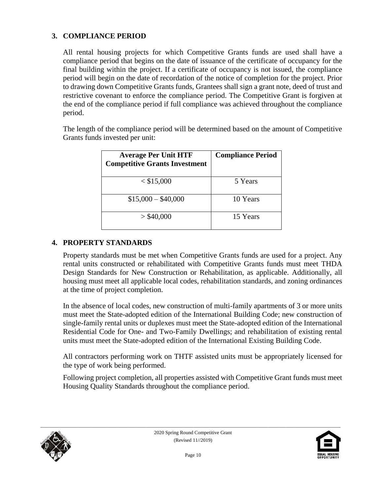#### **3. COMPLIANCE PERIOD**

All rental housing projects for which Competitive Grants funds are used shall have a compliance period that begins on the date of issuance of the certificate of occupancy for the final building within the project. If a certificate of occupancy is not issued, the compliance period will begin on the date of recordation of the notice of completion for the project. Prior to drawing down Competitive Grants funds, Grantees shall sign a grant note, deed of trust and restrictive covenant to enforce the compliance period. The Competitive Grant is forgiven at the end of the compliance period if full compliance was achieved throughout the compliance period.

The length of the compliance period will be determined based on the amount of Competitive Grants funds invested per unit:

| <b>Average Per Unit HTF</b><br><b>Competitive Grants Investment</b> | <b>Compliance Period</b> |
|---------------------------------------------------------------------|--------------------------|
| $<$ \$15,000                                                        | 5 Years                  |
| $$15,000 - $40,000$                                                 | 10 Years                 |
| $>$ \$40,000                                                        | 15 Years                 |

#### **4. PROPERTY STANDARDS**

Property standards must be met when Competitive Grants funds are used for a project. Any rental units constructed or rehabilitated with Competitive Grants funds must meet THDA Design Standards for New Construction or Rehabilitation, as applicable. Additionally, all housing must meet all applicable local codes, rehabilitation standards, and zoning ordinances at the time of project completion.

In the absence of local codes, new construction of multi-family apartments of 3 or more units must meet the State-adopted edition of the International Building Code; new construction of single-family rental units or duplexes must meet the State-adopted edition of the International Residential Code for One- and Two-Family Dwellings; and rehabilitation of existing rental units must meet the State-adopted edition of the International Existing Building Code.

All contractors performing work on THTF assisted units must be appropriately licensed for the type of work being performed.

Following project completion, all properties assisted with Competitive Grant funds must meet Housing Quality Standards throughout the compliance period.



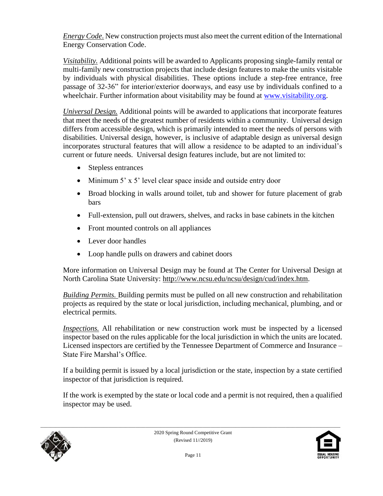*Energy Code*. New construction projects must also meet the current edition of the International Energy Conservation Code.

*Visitability.* Additional points will be awarded to Applicants proposing single-family rental or multi-family new construction projects that include design features to make the units visitable by individuals with physical disabilities. These options include a step-free entrance, free passage of 32-36" for interior/exterior doorways, and easy use by individuals confined to a wheelchair. Further information about visitability may be found at [www.visitability.org.](http://www.visitability.org/)

*Universal Design.* Additional points will be awarded to applications that incorporate features that meet the needs of the greatest number of residents within a community. Universal design differs from accessible design, which is primarily intended to meet the needs of persons with disabilities. Universal design, however, is inclusive of adaptable design as universal design incorporates structural features that will allow a residence to be adapted to an individual's current or future needs. Universal design features include, but are not limited to:

- Stepless entrances
- Minimum 5' x 5' level clear space inside and outside entry door
- Broad blocking in walls around toilet, tub and shower for future placement of grab bars
- Full-extension, pull out drawers, shelves, and racks in base cabinets in the kitchen
- Front mounted controls on all appliances
- Lever door handles
- Loop handle pulls on drawers and cabinet doors

More information on Universal Design may be found at The Center for Universal Design at North Carolina State University: [http://www.ncsu.edu/ncsu/design/cud/index.htm.](http://www.ncsu.edu/ncsu/design/cud/index.htm)

*Building Permits.* Building permits must be pulled on all new construction and rehabilitation projects as required by the state or local jurisdiction, including mechanical, plumbing, and or electrical permits.

*Inspections.* All rehabilitation or new construction work must be inspected by a licensed inspector based on the rules applicable for the local jurisdiction in which the units are located. Licensed inspectors are certified by the Tennessee Department of Commerce and Insurance – State Fire Marshal's Office.

If a building permit is issued by a local jurisdiction or the state, inspection by a state certified inspector of that jurisdiction is required.

If the work is exempted by the state or local code and a permit is not required, then a qualified inspector may be used.



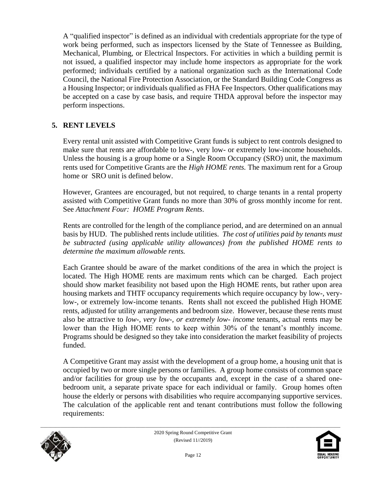A "qualified inspector" is defined as an individual with credentials appropriate for the type of work being performed, such as inspectors licensed by the State of Tennessee as Building, Mechanical, Plumbing, or Electrical Inspectors. For activities in which a building permit is not issued, a qualified inspector may include home inspectors as appropriate for the work performed; individuals certified by a national organization such as the International Code Council, the National Fire Protection Association, or the Standard Building Code Congress as a Housing Inspector; or individuals qualified as FHA Fee Inspectors. Other qualifications may be accepted on a case by case basis, and require THDA approval before the inspector may perform inspections.

#### **5. RENT LEVELS**

Every rental unit assisted with Competitive Grant funds is subject to rent controls designed to make sure that rents are affordable to low-, very low- or extremely low-income households. Unless the housing is a group home or a Single Room Occupancy (SRO) unit, the maximum rents used for Competitive Grants are the *High HOME rents.* The maximum rent for a Group home or SRO unit is defined below.

However, Grantees are encouraged, but not required, to charge tenants in a rental property assisted with Competitive Grant funds no more than 30% of gross monthly income for rent. See *Attachment Four: HOME Program Rents*.

Rents are controlled for the length of the compliance period, and are determined on an annual basis by HUD. The published rents include utilities. *The cost of utilities paid by tenants must be subtracted (using applicable utility allowances) from the published HOME rents to determine the maximum allowable rents.*

Each Grantee should be aware of the market conditions of the area in which the project is located. The High HOME rents are maximum rents which can be charged. Each project should show market feasibility not based upon the High HOME rents, but rather upon area housing markets and THTF occupancy requirements which require occupancy by low-, verylow-, or extremely low-income tenants. Rents shall not exceed the published High HOME rents, adjusted for utility arrangements and bedroom size. However, because these rents must also be attractive to *low-, very low-, or extremely low- income* tenants, actual rents may be lower than the High HOME rents to keep within 30% of the tenant's monthly income. Programs should be designed so they take into consideration the market feasibility of projects funded.

A Competitive Grant may assist with the development of a group home, a housing unit that is occupied by two or more single persons or families. A group home consists of common space and/or facilities for group use by the occupants and, except in the case of a shared onebedroom unit, a separate private space for each individual or family. Group homes often house the elderly or persons with disabilities who require accompanying supportive services. The calculation of the applicable rent and tenant contributions must follow the following requirements:



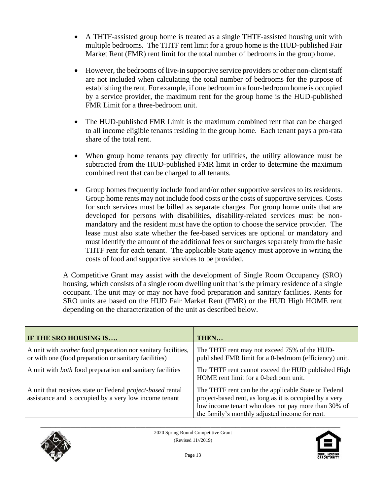- A THTF-assisted group home is treated as a single THTF-assisted housing unit with multiple bedrooms. The THTF rent limit for a group home is the HUD-published Fair Market Rent (FMR) rent limit for the total number of bedrooms in the group home.
- However, the bedrooms of live-in supportive service providers or other non-client staff are not included when calculating the total number of bedrooms for the purpose of establishing the rent. For example, if one bedroom in a four-bedroom home is occupied by a service provider, the maximum rent for the group home is the HUD-published FMR Limit for a three-bedroom unit.
- The HUD-published FMR Limit is the maximum combined rent that can be charged to all income eligible tenants residing in the group home. Each tenant pays a pro-rata share of the total rent.
- When group home tenants pay directly for utilities, the utility allowance must be subtracted from the HUD-published FMR limit in order to determine the maximum combined rent that can be charged to all tenants.
- Group homes frequently include food and/or other supportive services to its residents. Group home rents may not include food costs or the costs of supportive services. Costs for such services must be billed as separate charges. For group home units that are developed for persons with disabilities, disability-related services must be nonmandatory and the resident must have the option to choose the service provider. The lease must also state whether the fee-based services are optional or mandatory and must identify the amount of the additional fees or surcharges separately from the basic THTF rent for each tenant. The applicable State agency must approve in writing the costs of food and supportive services to be provided.

A Competitive Grant may assist with the development of Single Room Occupancy (SRO) housing, which consists of a single room dwelling unit that is the primary residence of a single occupant. The unit may or may not have food preparation and sanitary facilities. Rents for SRO units are based on the HUD Fair Market Rent (FMR) or the HUD High HOME rent depending on the characterization of the unit as described below.

| IF THE SRO HOUSING IS                                                                                                         | THEN                                                                                                                                                                                                                     |
|-------------------------------------------------------------------------------------------------------------------------------|--------------------------------------------------------------------------------------------------------------------------------------------------------------------------------------------------------------------------|
| A unit with <i>neither</i> food preparation nor sanitary facilities,<br>or with one (food preparation or sanitary facilities) | The THTF rent may not exceed 75% of the HUD-<br>published FMR limit for a 0-bedroom (efficiency) unit.                                                                                                                   |
| A unit with <i>both</i> food preparation and sanitary facilities                                                              | The THTF rent cannot exceed the HUD published High<br>HOME rent limit for a 0-bedroom unit.                                                                                                                              |
| A unit that receives state or Federal <i>project-based</i> rental<br>assistance and is occupied by a very low income tenant   | The THTF rent can be the applicable State or Federal<br>project-based rent, as long as it is occupied by a very<br>low income tenant who does not pay more than 30% of<br>the family's monthly adjusted income for rent. |



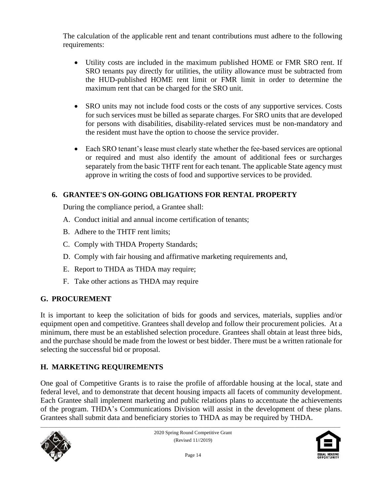The calculation of the applicable rent and tenant contributions must adhere to the following requirements:

- Utility costs are included in the maximum published HOME or FMR SRO rent. If SRO tenants pay directly for utilities, the utility allowance must be subtracted from the HUD-published HOME rent limit or FMR limit in order to determine the maximum rent that can be charged for the SRO unit.
- SRO units may not include food costs or the costs of any supportive services. Costs for such services must be billed as separate charges. For SRO units that are developed for persons with disabilities, disability-related services must be non-mandatory and the resident must have the option to choose the service provider.
- Each SRO tenant's lease must clearly state whether the fee-based services are optional or required and must also identify the amount of additional fees or surcharges separately from the basic THTF rent for each tenant. The applicable State agency must approve in writing the costs of food and supportive services to be provided.

### **6. GRANTEE'S ON-GOING OBLIGATIONS FOR RENTAL PROPERTY**

During the compliance period, a Grantee shall:

- A. Conduct initial and annual income certification of tenants;
- B. Adhere to the THTF rent limits;
- C. Comply with THDA Property Standards;
- D. Comply with fair housing and affirmative marketing requirements and,
- E. Report to THDA as THDA may require;
- F. Take other actions as THDA may require

## **G. PROCUREMENT**

It is important to keep the solicitation of bids for goods and services, materials, supplies and/or equipment open and competitive. Grantees shall develop and follow their procurement policies. At a minimum, there must be an established selection procedure. Grantees shall obtain at least three bids, and the purchase should be made from the lowest or best bidder. There must be a written rationale for selecting the successful bid or proposal.

## **H. MARKETING REQUIREMENTS**

One goal of Competitive Grants is to raise the profile of affordable housing at the local, state and federal level, and to demonstrate that decent housing impacts all facets of community development. Each Grantee shall implement marketing and public relations plans to accentuate the achievements of the program. THDA's Communications Division will assist in the development of these plans. Grantees shall submit data and beneficiary stories to THDA as may be required by THDA.



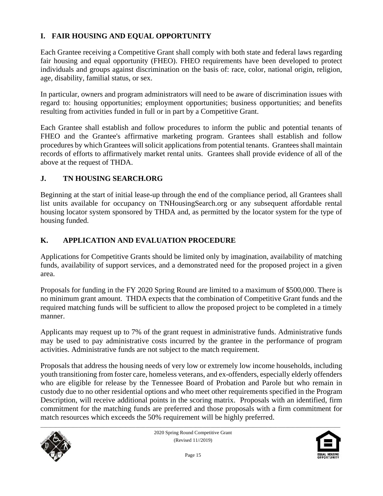### **I. FAIR HOUSING AND EQUAL OPPORTUNITY**

Each Grantee receiving a Competitive Grant shall comply with both state and federal laws regarding fair housing and equal opportunity (FHEO). FHEO requirements have been developed to protect individuals and groups against discrimination on the basis of: race, color, national origin, religion, age, disability, familial status, or sex.

In particular, owners and program administrators will need to be aware of discrimination issues with regard to: housing opportunities; employment opportunities; business opportunities; and benefits resulting from activities funded in full or in part by a Competitive Grant.

Each Grantee shall establish and follow procedures to inform the public and potential tenants of FHEO and the Grantee's affirmative marketing program. Grantees shall establish and follow procedures by which Grantees will solicit applications from potential tenants. Grantees shall maintain records of efforts to affirmatively market rental units. Grantees shall provide evidence of all of the above at the request of THDA.

#### **J. TN HOUSING SEARCH.ORG**

Beginning at the start of initial lease-up through the end of the compliance period, all Grantees shall list units available for occupancy on TNHousingSearch.org or any subsequent affordable rental housing locator system sponsored by THDA and, as permitted by the locator system for the type of housing funded.

### **K. APPLICATION AND EVALUATION PROCEDURE**

Applications for Competitive Grants should be limited only by imagination, availability of matching funds, availability of support services, and a demonstrated need for the proposed project in a given area.

Proposals for funding in the FY 2020 Spring Round are limited to a maximum of \$500,000. There is no minimum grant amount. THDA expects that the combination of Competitive Grant funds and the required matching funds will be sufficient to allow the proposed project to be completed in a timely manner.

Applicants may request up to 7% of the grant request in administrative funds. Administrative funds may be used to pay administrative costs incurred by the grantee in the performance of program activities. Administrative funds are not subject to the match requirement.

Proposals that address the housing needs of very low or extremely low income households, including youth transitioning from foster care, homeless veterans, and ex-offenders, especially elderly offenders who are eligible for release by the Tennessee Board of Probation and Parole but who remain in custody due to no other residential options and who meet other requirements specified in the Program Description, will receive additional points in the scoring matrix. Proposals with an identified, firm commitment for the matching funds are preferred and those proposals with a firm commitment for match resources which exceeds the 50% requirement will be highly preferred.



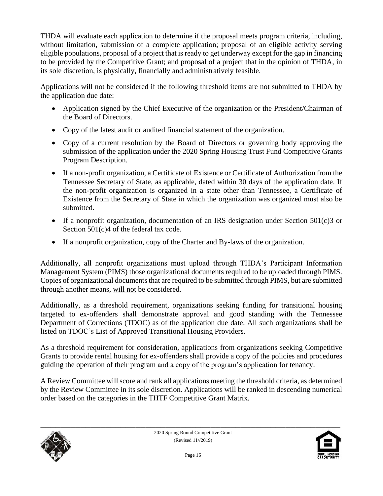THDA will evaluate each application to determine if the proposal meets program criteria, including, without limitation, submission of a complete application; proposal of an eligible activity serving eligible populations, proposal of a project that is ready to get underway except for the gap in financing to be provided by the Competitive Grant; and proposal of a project that in the opinion of THDA, in its sole discretion, is physically, financially and administratively feasible.

Applications will not be considered if the following threshold items are not submitted to THDA by the application due date:

- Application signed by the Chief Executive of the organization or the President/Chairman of the Board of Directors.
- Copy of the latest audit or audited financial statement of the organization.
- Copy of a current resolution by the Board of Directors or governing body approving the submission of the application under the 2020 Spring Housing Trust Fund Competitive Grants Program Description.
- If a non-profit organization, a Certificate of Existence or Certificate of Authorization from the Tennessee Secretary of State, as applicable, dated within 30 days of the application date. If the non-profit organization is organized in a state other than Tennessee, a Certificate of Existence from the Secretary of State in which the organization was organized must also be submitted.
- If a nonprofit organization, documentation of an IRS designation under Section  $501(c)3$  or Section 501(c)4 of the federal tax code.
- If a nonprofit organization, copy of the Charter and By-laws of the organization.

Additionally, all nonprofit organizations must upload through THDA's Participant Information Management System (PIMS) those organizational documents required to be uploaded through PIMS. Copies of organizational documents that are required to be submitted through PIMS, but are submitted through another means, will not be considered.

Additionally, as a threshold requirement, organizations seeking funding for transitional housing targeted to ex-offenders shall demonstrate approval and good standing with the Tennessee Department of Corrections (TDOC) as of the application due date. All such organizations shall be listed on TDOC's List of Approved Transitional Housing Providers.

As a threshold requirement for consideration, applications from organizations seeking Competitive Grants to provide rental housing for ex-offenders shall provide a copy of the policies and procedures guiding the operation of their program and a copy of the program's application for tenancy.

A Review Committee will score and rank all applications meeting the threshold criteria, as determined by the Review Committee in its sole discretion. Applications will be ranked in descending numerical order based on the categories in the THTF Competitive Grant Matrix.



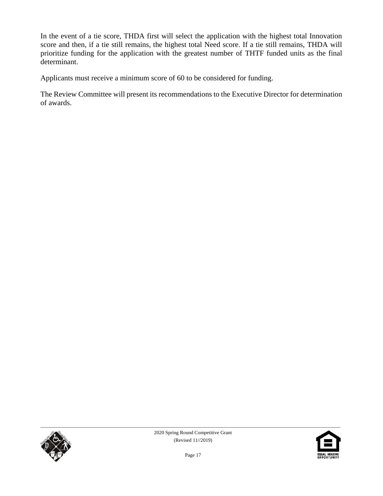In the event of a tie score, THDA first will select the application with the highest total Innovation score and then, if a tie still remains, the highest total Need score. If a tie still remains, THDA will prioritize funding for the application with the greatest number of THTF funded units as the final determinant.

Applicants must receive a minimum score of 60 to be considered for funding.

The Review Committee will present its recommendations to the Executive Director for determination of awards.



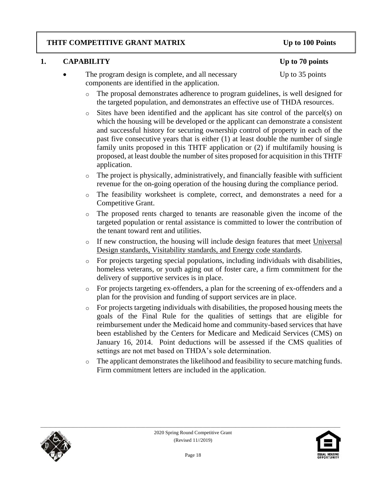#### **THTF COMPETITIVE GRANT MATRIX Up to 100 Points**

### **1. CAPABILITY Up to 70 points**

- The program design is complete, and all necessary Up to 35 points components are identified in the application.
	- o The proposal demonstrates adherence to program guidelines, is well designed for the targeted population, and demonstrates an effective use of THDA resources.
	- o Sites have been identified and the applicant has site control of the parcel(s) on which the housing will be developed or the applicant can demonstrate a consistent and successful history for securing ownership control of property in each of the past five consecutive years that is either (1) at least double the number of single family units proposed in this THTF application or (2) if multifamily housing is proposed, at least double the number of sites proposed for acquisition in this THTF application.
	- o The project is physically, administratively, and financially feasible with sufficient revenue for the on-going operation of the housing during the compliance period.
	- o The feasibility worksheet is complete, correct, and demonstrates a need for a Competitive Grant.
	- o The proposed rents charged to tenants are reasonable given the income of the targeted population or rental assistance is committed to lower the contribution of the tenant toward rent and utilities.
	- o If new construction, the housing will include design features that meet Universal Design standards, Visitability standards, and Energy code standards.
	- o For projects targeting special populations, including individuals with disabilities, homeless veterans, or youth aging out of foster care, a firm commitment for the delivery of supportive services is in place.
	- o For projects targeting ex-offenders, a plan for the screening of ex-offenders and a plan for the provision and funding of support services are in place.
	- o For projects targeting individuals with disabilities, the proposed housing meets the goals of the Final Rule for the qualities of settings that are eligible for reimbursement under the Medicaid home and community-based services that have been established by the Centers for Medicare and Medicaid Services (CMS) on January 16, 2014. Point deductions will be assessed if the CMS qualities of settings are not met based on THDA's sole determination.
	- o The applicant demonstrates the likelihood and feasibility to secure matching funds. Firm commitment letters are included in the application.



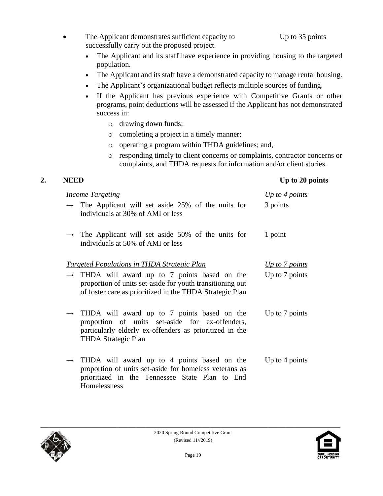- The Applicant demonstrates sufficient capacity to Up to 35 points successfully carry out the proposed project.
	- The Applicant and its staff have experience in providing housing to the targeted population.
	- The Applicant and its staff have a demonstrated capacity to manage rental housing.
	- The Applicant's organizational budget reflects multiple sources of funding.
	- If the Applicant has previous experience with Competitive Grants or other programs, point deductions will be assessed if the Applicant has not demonstrated success in:
		- o drawing down funds;
		- o completing a project in a timely manner;
		- o operating a program within THDA guidelines; and,
		- o responding timely to client concerns or complaints, contractor concerns or complaints, and THDA requests for information and/or client stories.

#### **2. NEED Up to 20 points**

|               | <i>Income Targeting</i>                                                                                                                                                                               | Up to 4 points |
|---------------|-------------------------------------------------------------------------------------------------------------------------------------------------------------------------------------------------------|----------------|
|               | $\rightarrow$ The Applicant will set aside 25% of the units for<br>individuals at 30% of AMI or less                                                                                                  | 3 points       |
|               | $\rightarrow$ The Applicant will set aside 50% of the units for<br>individuals at 50% of AMI or less                                                                                                  | 1 point        |
|               | <u><b>Targeted Populations in THDA Strategic Plan</b></u>                                                                                                                                             | Up to 7 points |
|               | $\rightarrow$ THDA will award up to 7 points based on the<br>proportion of units set-aside for youth transitioning out<br>of foster care as prioritized in the THDA Strategic Plan                    | Up to 7 points |
|               | $\rightarrow$ THDA will award up to 7 points based on the<br>proportion of units set-aside for ex-offenders,<br>particularly elderly ex-offenders as prioritized in the<br><b>THDA Strategic Plan</b> | Up to 7 points |
| $\rightarrow$ | THDA will award up to 4 points based on the<br>proportion of units set-aside for homeless veterans as<br>prioritized in the Tennessee State Plan to End<br>Homelessness                               | Up to 4 points |